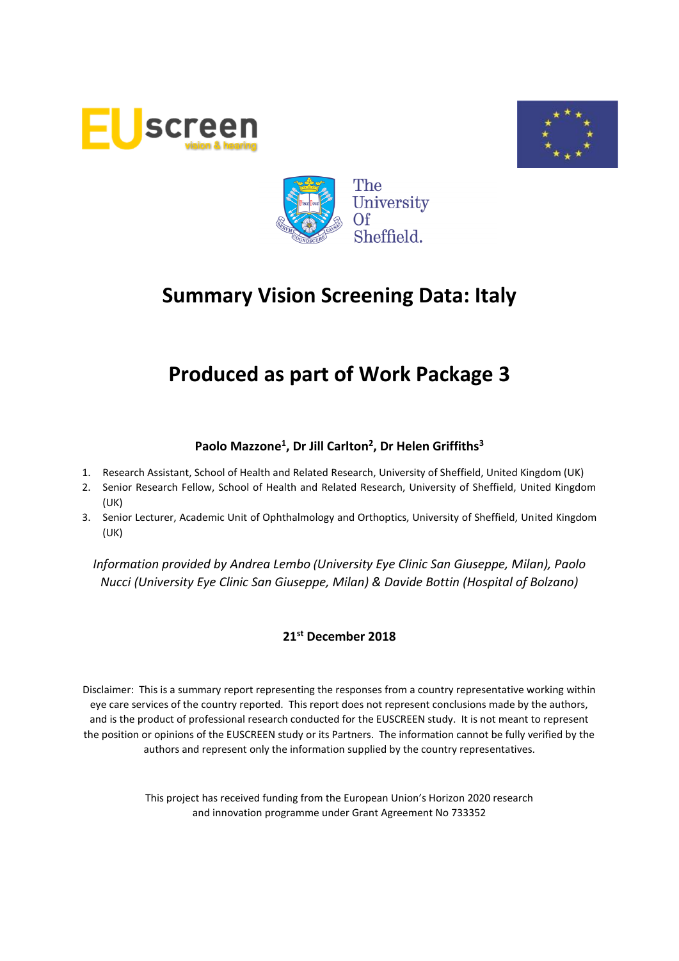





# **Produced as part of Work Package 3**

## **Paolo Mazzone<sup>1</sup> , Dr Jill Carlton<sup>2</sup> , Dr Helen Griffiths<sup>3</sup>**

- 1. Research Assistant, School of Health and Related Research, University of Sheffield, United Kingdom (UK)
- 2. Senior Research Fellow, School of Health and Related Research, University of Sheffield, United Kingdom (UK)
- 3. Senior Lecturer, Academic Unit of Ophthalmology and Orthoptics, University of Sheffield, United Kingdom (UK)

*Information provided by Andrea Lembo (University Eye Clinic San Giuseppe, Milan), Paolo Nucci (University Eye Clinic San Giuseppe, Milan) & Davide Bottin (Hospital of Bolzano)*

## **21 st December 2018**

Disclaimer: This is a summary report representing the responses from a country representative working within eye care services of the country reported. This report does not represent conclusions made by the authors, and is the product of professional research conducted for the EUSCREEN study. It is not meant to represent the position or opinions of the EUSCREEN study or its Partners. The information cannot be fully verified by the authors and represent only the information supplied by the country representatives.

> This project has received funding from the European Union's Horizon 2020 research and innovation programme under Grant Agreement No 733352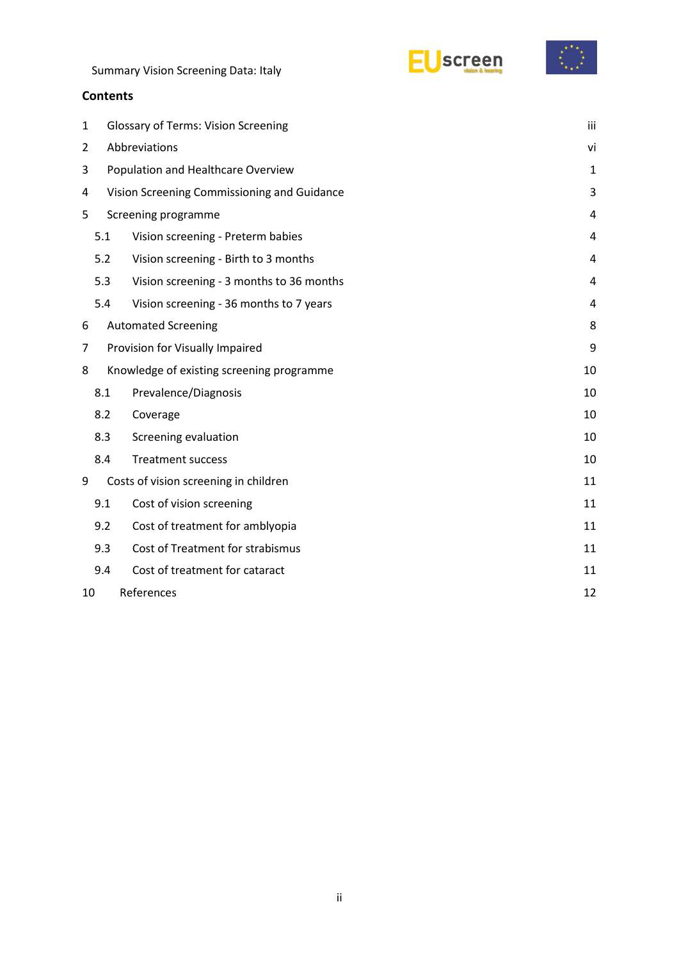|  |  | <b>Summary Vision Screening Data: Italy</b> |  |  |
|--|--|---------------------------------------------|--|--|
|--|--|---------------------------------------------|--|--|



## **Contents**

| 1  | <b>Glossary of Terms: Vision Screening</b> |                                             |    |  |
|----|--------------------------------------------|---------------------------------------------|----|--|
| 2  | Abbreviations                              |                                             |    |  |
| 3  | Population and Healthcare Overview         |                                             |    |  |
| 4  |                                            | Vision Screening Commissioning and Guidance | 3  |  |
| 5  |                                            | Screening programme                         | 4  |  |
|    | 5.1                                        | Vision screening - Preterm babies           | 4  |  |
|    | 5.2                                        | Vision screening - Birth to 3 months        | 4  |  |
|    | 5.3                                        | Vision screening - 3 months to 36 months    | 4  |  |
|    | 5.4                                        | Vision screening - 36 months to 7 years     | 4  |  |
| 6  |                                            | <b>Automated Screening</b>                  | 8  |  |
| 7  |                                            | Provision for Visually Impaired             | 9  |  |
| 8  |                                            | Knowledge of existing screening programme   | 10 |  |
|    | 8.1                                        | Prevalence/Diagnosis                        | 10 |  |
|    | 8.2                                        | Coverage                                    | 10 |  |
|    | 8.3                                        | Screening evaluation                        | 10 |  |
|    | 8.4                                        | <b>Treatment success</b>                    | 10 |  |
| 9  |                                            | Costs of vision screening in children       | 11 |  |
|    | 9.1                                        | Cost of vision screening                    | 11 |  |
|    | 9.2                                        | Cost of treatment for amblyopia             | 11 |  |
|    | 9.3                                        | Cost of Treatment for strabismus            | 11 |  |
|    | 9.4                                        | Cost of treatment for cataract              | 11 |  |
| 10 |                                            | References                                  | 12 |  |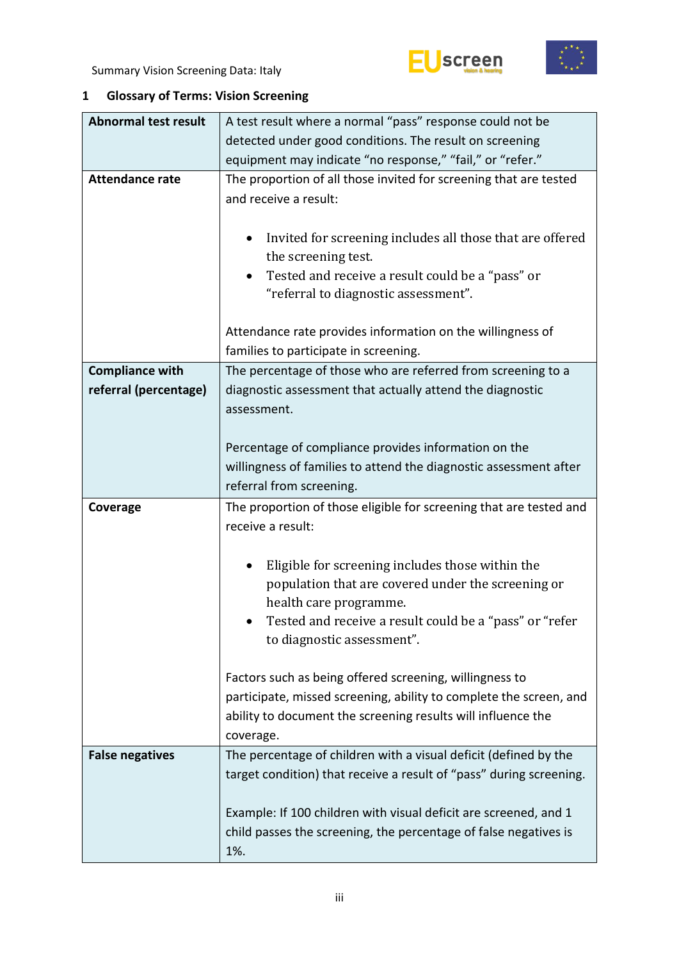



## <span id="page-2-0"></span>**1 Glossary of Terms: Vision Screening**

| <b>Abnormal test result</b> | A test result where a normal "pass" response could not be                                                                               |  |  |  |  |
|-----------------------------|-----------------------------------------------------------------------------------------------------------------------------------------|--|--|--|--|
|                             | detected under good conditions. The result on screening                                                                                 |  |  |  |  |
|                             | equipment may indicate "no response," "fail," or "refer."                                                                               |  |  |  |  |
| <b>Attendance rate</b>      | The proportion of all those invited for screening that are tested<br>and receive a result:                                              |  |  |  |  |
|                             | Invited for screening includes all those that are offered<br>٠<br>the screening test.                                                   |  |  |  |  |
|                             | Tested and receive a result could be a "pass" or<br>"referral to diagnostic assessment".                                                |  |  |  |  |
|                             | Attendance rate provides information on the willingness of<br>families to participate in screening.                                     |  |  |  |  |
| <b>Compliance with</b>      | The percentage of those who are referred from screening to a                                                                            |  |  |  |  |
| referral (percentage)       | diagnostic assessment that actually attend the diagnostic<br>assessment.                                                                |  |  |  |  |
|                             | Percentage of compliance provides information on the                                                                                    |  |  |  |  |
|                             | willingness of families to attend the diagnostic assessment after                                                                       |  |  |  |  |
|                             | referral from screening.                                                                                                                |  |  |  |  |
|                             |                                                                                                                                         |  |  |  |  |
| Coverage                    | The proportion of those eligible for screening that are tested and                                                                      |  |  |  |  |
|                             | receive a result:                                                                                                                       |  |  |  |  |
|                             |                                                                                                                                         |  |  |  |  |
|                             | Eligible for screening includes those within the                                                                                        |  |  |  |  |
|                             | population that are covered under the screening or<br>health care programme.                                                            |  |  |  |  |
|                             | Tested and receive a result could be a "pass" or "refer<br>to diagnostic assessment".                                                   |  |  |  |  |
|                             | Factors such as being offered screening, willingness to                                                                                 |  |  |  |  |
|                             | participate, missed screening, ability to complete the screen, and                                                                      |  |  |  |  |
|                             | ability to document the screening results will influence the                                                                            |  |  |  |  |
|                             | coverage.                                                                                                                               |  |  |  |  |
| <b>False negatives</b>      | The percentage of children with a visual deficit (defined by the<br>target condition) that receive a result of "pass" during screening. |  |  |  |  |
|                             | Example: If 100 children with visual deficit are screened, and 1<br>child passes the screening, the percentage of false negatives is    |  |  |  |  |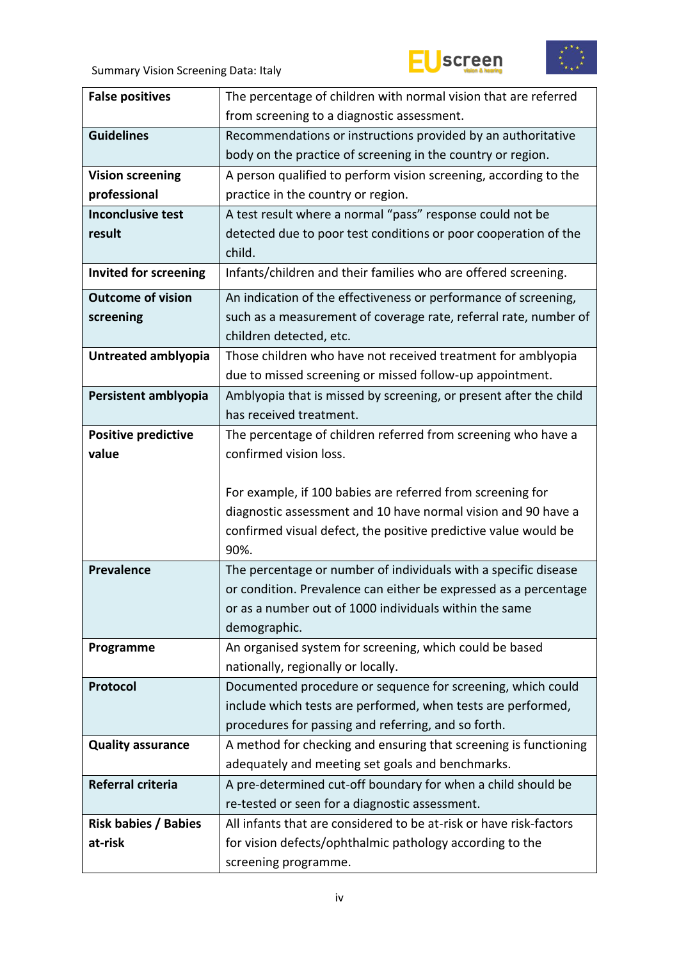





| <b>False positives</b>       | The percentage of children with normal vision that are referred                  |
|------------------------------|----------------------------------------------------------------------------------|
|                              | from screening to a diagnostic assessment.                                       |
| <b>Guidelines</b>            | Recommendations or instructions provided by an authoritative                     |
|                              | body on the practice of screening in the country or region.                      |
| <b>Vision screening</b>      | A person qualified to perform vision screening, according to the                 |
| professional                 | practice in the country or region.                                               |
| <b>Inconclusive test</b>     | A test result where a normal "pass" response could not be                        |
| result                       | detected due to poor test conditions or poor cooperation of the                  |
|                              | child.                                                                           |
| <b>Invited for screening</b> | Infants/children and their families who are offered screening.                   |
| <b>Outcome of vision</b>     | An indication of the effectiveness or performance of screening,                  |
| screening                    | such as a measurement of coverage rate, referral rate, number of                 |
|                              | children detected, etc.                                                          |
| Untreated amblyopia          | Those children who have not received treatment for amblyopia                     |
|                              | due to missed screening or missed follow-up appointment.                         |
| Persistent amblyopia         | Amblyopia that is missed by screening, or present after the child                |
|                              | has received treatment.                                                          |
| <b>Positive predictive</b>   | The percentage of children referred from screening who have a                    |
| value                        | confirmed vision loss.                                                           |
|                              |                                                                                  |
|                              |                                                                                  |
|                              | For example, if 100 babies are referred from screening for                       |
|                              | diagnostic assessment and 10 have normal vision and 90 have a                    |
|                              | confirmed visual defect, the positive predictive value would be                  |
|                              | 90%.                                                                             |
| <b>Prevalence</b>            | The percentage or number of individuals with a specific disease                  |
|                              | or condition. Prevalence can either be expressed as a percentage                 |
|                              | or as a number out of 1000 individuals within the same                           |
|                              | demographic.                                                                     |
| Programme                    | An organised system for screening, which could be based                          |
|                              | nationally, regionally or locally.                                               |
| Protocol                     | Documented procedure or sequence for screening, which could                      |
|                              | include which tests are performed, when tests are performed,                     |
|                              | procedures for passing and referring, and so forth.                              |
| <b>Quality assurance</b>     | A method for checking and ensuring that screening is functioning                 |
|                              | adequately and meeting set goals and benchmarks.                                 |
| Referral criteria            | A pre-determined cut-off boundary for when a child should be                     |
|                              | re-tested or seen for a diagnostic assessment.                                   |
| <b>Risk babies / Babies</b>  | All infants that are considered to be at-risk or have risk-factors               |
| at-risk                      | for vision defects/ophthalmic pathology according to the<br>screening programme. |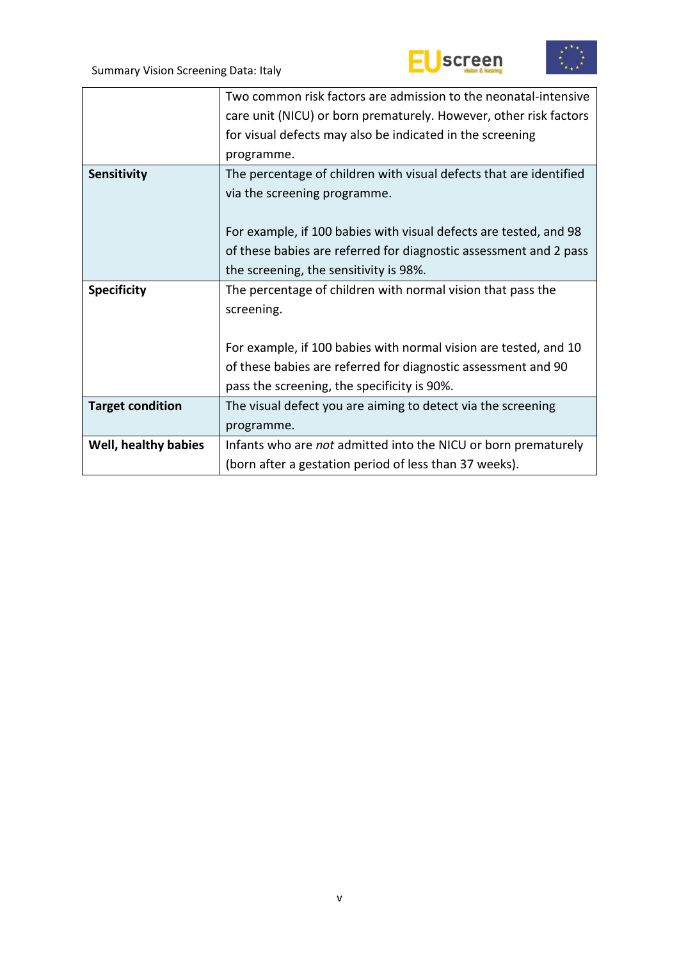



|                         | Two common risk factors are admission to the neonatal-intensive    |
|-------------------------|--------------------------------------------------------------------|
|                         | care unit (NICU) or born prematurely. However, other risk factors  |
|                         | for visual defects may also be indicated in the screening          |
|                         | programme.                                                         |
| <b>Sensitivity</b>      | The percentage of children with visual defects that are identified |
|                         | via the screening programme.                                       |
|                         |                                                                    |
|                         | For example, if 100 babies with visual defects are tested, and 98  |
|                         | of these babies are referred for diagnostic assessment and 2 pass  |
|                         | the screening, the sensitivity is 98%.                             |
| <b>Specificity</b>      | The percentage of children with normal vision that pass the        |
|                         | screening.                                                         |
|                         |                                                                    |
|                         | For example, if 100 babies with normal vision are tested, and 10   |
|                         | of these babies are referred for diagnostic assessment and 90      |
|                         | pass the screening, the specificity is 90%.                        |
| <b>Target condition</b> | The visual defect you are aiming to detect via the screening       |
|                         | programme.                                                         |
| Well, healthy babies    | Infants who are not admitted into the NICU or born prematurely     |
|                         | (born after a gestation period of less than 37 weeks).             |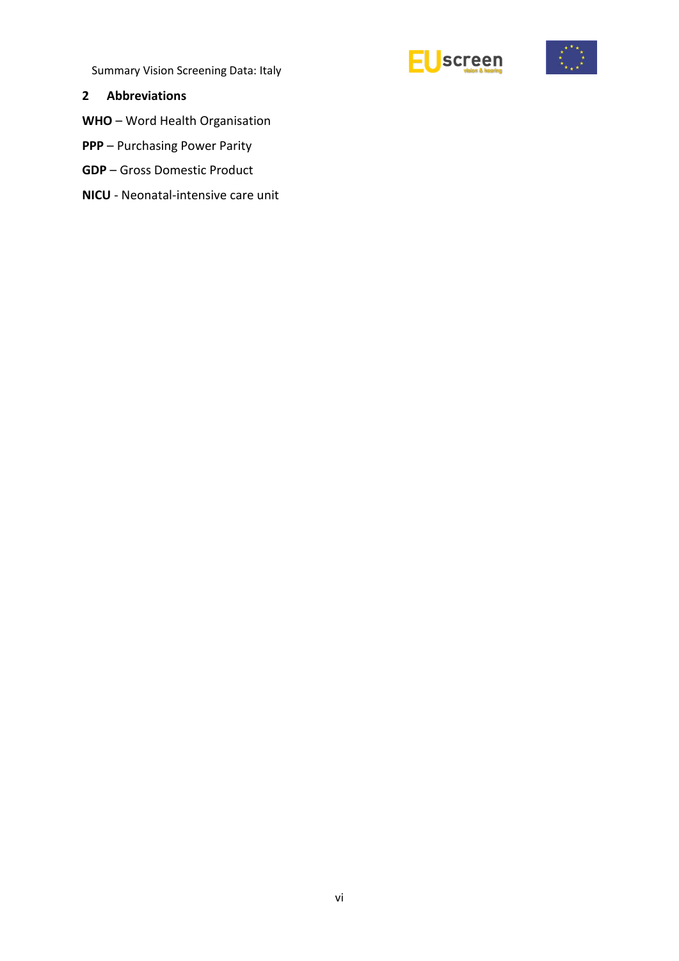



### <span id="page-5-0"></span>**2 Abbreviations**

**WHO** – Word Health Organisation

- **PPP** Purchasing Power Parity
- **GDP** Gross Domestic Product
- **NICU** Neonatal-intensive care unit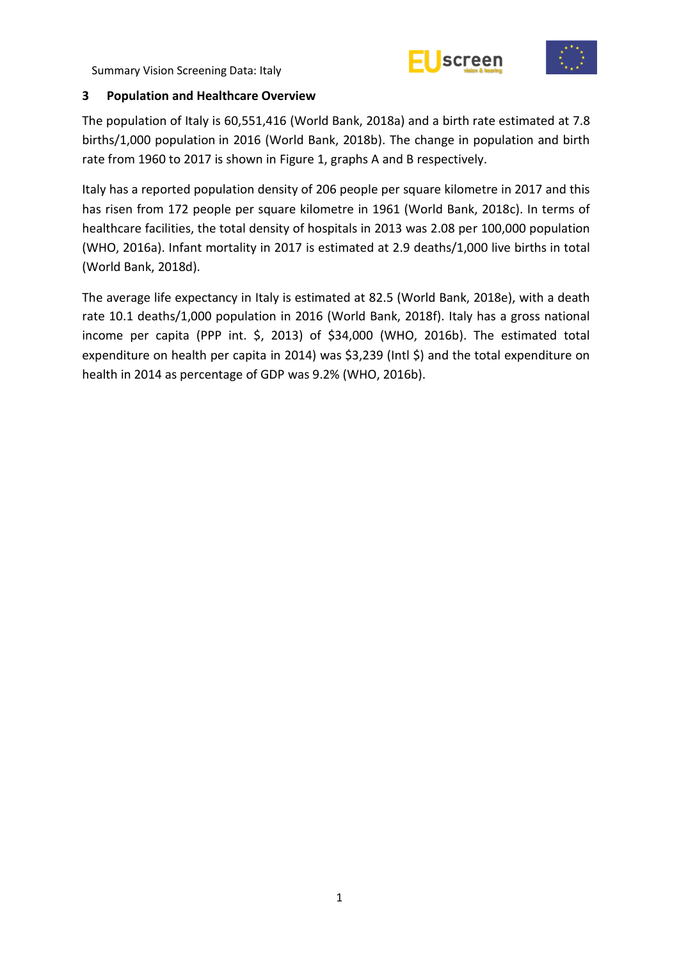



## <span id="page-6-0"></span>**3 Population and Healthcare Overview**

The population of Italy is 60,551,416 (World Bank, 2018a) and a birth rate estimated at 7.8 births/1,000 population in 2016 (World Bank, 2018b). The change in population and birth rate from 1960 to 2017 is shown in Figure 1, graphs A and B respectively.

Italy has a reported population density of 206 people per square kilometre in 2017 and this has risen from 172 people per square kilometre in 1961 (World Bank, 2018c). In terms of healthcare facilities, the total density of hospitals in 2013 was 2.08 per 100,000 population (WHO, 2016a). Infant mortality in 2017 is estimated at 2.9 deaths/1,000 live births in total (World Bank, 2018d).

The average life expectancy in Italy is estimated at 82.5 (World Bank, 2018e), with a death rate 10.1 deaths/1,000 population in 2016 (World Bank, 2018f). Italy has a gross national income per capita (PPP int. \$, 2013) of \$34,000 (WHO, 2016b). The estimated total expenditure on health per capita in 2014) was \$3,239 (Intl \$) and the total expenditure on health in 2014 as percentage of GDP was 9.2% (WHO, 2016b).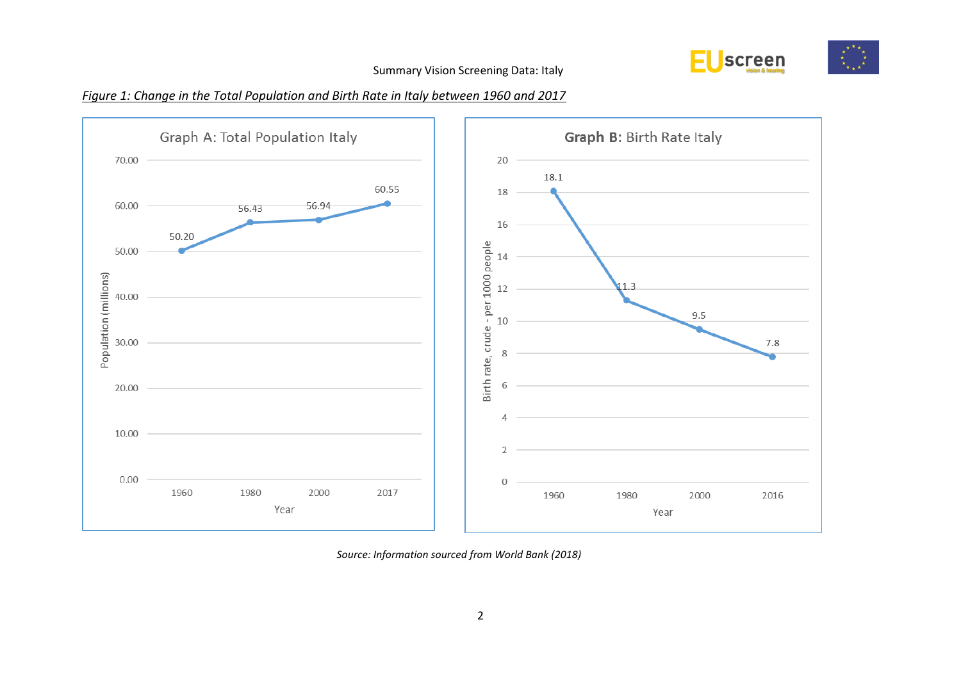

## *Figure 1: Change in the Total Population and Birth Rate in Italy between 1960 and 2017*



*Source: Information sourced from World Bank (2018)*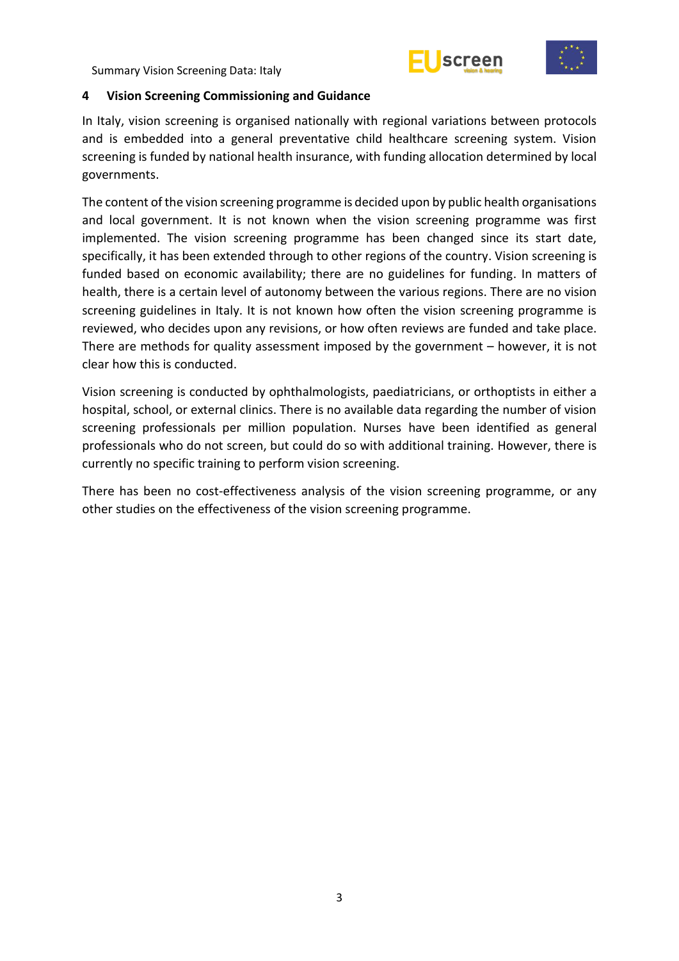



#### <span id="page-8-0"></span>**4 Vision Screening Commissioning and Guidance**

In Italy, vision screening is organised nationally with regional variations between protocols and is embedded into a general preventative child healthcare screening system. Vision screening is funded by national health insurance, with funding allocation determined by local governments.

The content of the vision screening programme is decided upon by public health organisations and local government. It is not known when the vision screening programme was first implemented. The vision screening programme has been changed since its start date, specifically, it has been extended through to other regions of the country. Vision screening is funded based on economic availability; there are no guidelines for funding. In matters of health, there is a certain level of autonomy between the various regions. There are no vision screening guidelines in Italy. It is not known how often the vision screening programme is reviewed, who decides upon any revisions, or how often reviews are funded and take place. There are methods for quality assessment imposed by the government – however, it is not clear how this is conducted.

Vision screening is conducted by ophthalmologists, paediatricians, or orthoptists in either a hospital, school, or external clinics. There is no available data regarding the number of vision screening professionals per million population. Nurses have been identified as general professionals who do not screen, but could do so with additional training. However, there is currently no specific training to perform vision screening.

There has been no cost-effectiveness analysis of the vision screening programme, or any other studies on the effectiveness of the vision screening programme.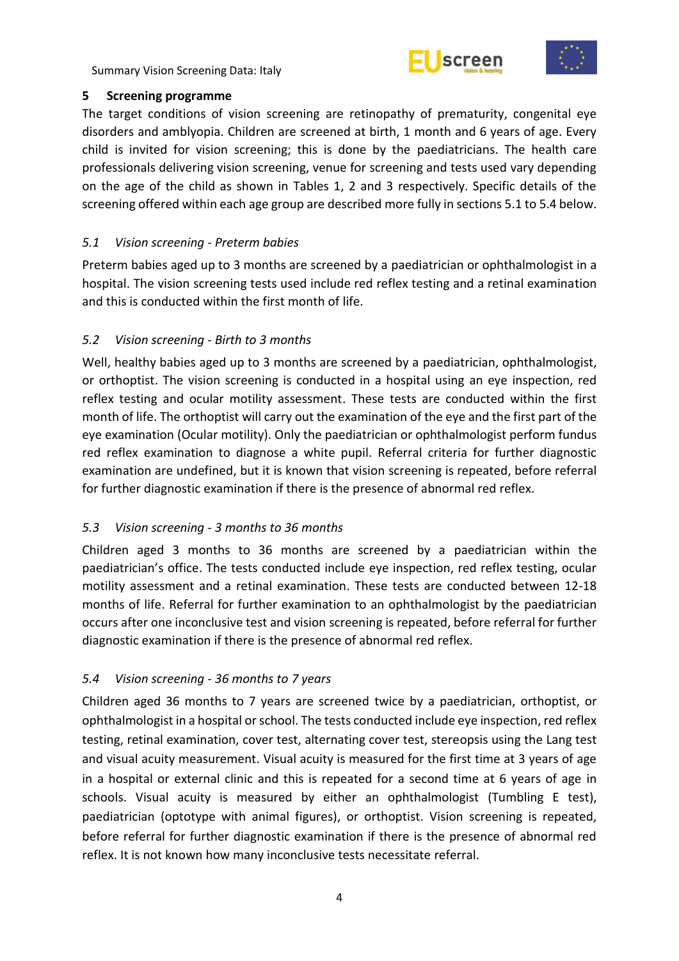



## <span id="page-9-0"></span>**5 Screening programme**

The target conditions of vision screening are retinopathy of prematurity, congenital eye disorders and amblyopia. Children are screened at birth, 1 month and 6 years of age. Every child is invited for vision screening; this is done by the paediatricians. The health care professionals delivering vision screening, venue for screening and tests used vary depending on the age of the child as shown in Tables 1, 2 and 3 respectively. Specific details of the screening offered within each age group are described more fully in sections 5.1 to 5.4 below.

## <span id="page-9-1"></span>*5.1 Vision screening - Preterm babies*

Preterm babies aged up to 3 months are screened by a paediatrician or ophthalmologist in a hospital. The vision screening tests used include red reflex testing and a retinal examination and this is conducted within the first month of life.

## <span id="page-9-2"></span>*5.2 Vision screening - Birth to 3 months*

Well, healthy babies aged up to 3 months are screened by a paediatrician, ophthalmologist, or orthoptist. The vision screening is conducted in a hospital using an eye inspection, red reflex testing and ocular motility assessment. These tests are conducted within the first month of life. The orthoptist will carry out the examination of the eye and the first part of the eye examination (Ocular motility). Only the paediatrician or ophthalmologist perform fundus red reflex examination to diagnose a white pupil. Referral criteria for further diagnostic examination are undefined, but it is known that vision screening is repeated, before referral for further diagnostic examination if there is the presence of abnormal red reflex.

## <span id="page-9-3"></span>*5.3 Vision screening - 3 months to 36 months*

Children aged 3 months to 36 months are screened by a paediatrician within the paediatrician's office. The tests conducted include eye inspection, red reflex testing, ocular motility assessment and a retinal examination. These tests are conducted between 12-18 months of life. Referral for further examination to an ophthalmologist by the paediatrician occurs after one inconclusive test and vision screening is repeated, before referral for further diagnostic examination if there is the presence of abnormal red reflex.

## <span id="page-9-4"></span>*5.4 Vision screening - 36 months to 7 years*

Children aged 36 months to 7 years are screened twice by a paediatrician, orthoptist, or ophthalmologist in a hospital or school. The tests conducted include eye inspection, red reflex testing, retinal examination, cover test, alternating cover test, stereopsis using the Lang test and visual acuity measurement. Visual acuity is measured for the first time at 3 years of age in a hospital or external clinic and this is repeated for a second time at 6 years of age in schools. Visual acuity is measured by either an ophthalmologist (Tumbling E test), paediatrician (optotype with animal figures), or orthoptist. Vision screening is repeated, before referral for further diagnostic examination if there is the presence of abnormal red reflex. It is not known how many inconclusive tests necessitate referral.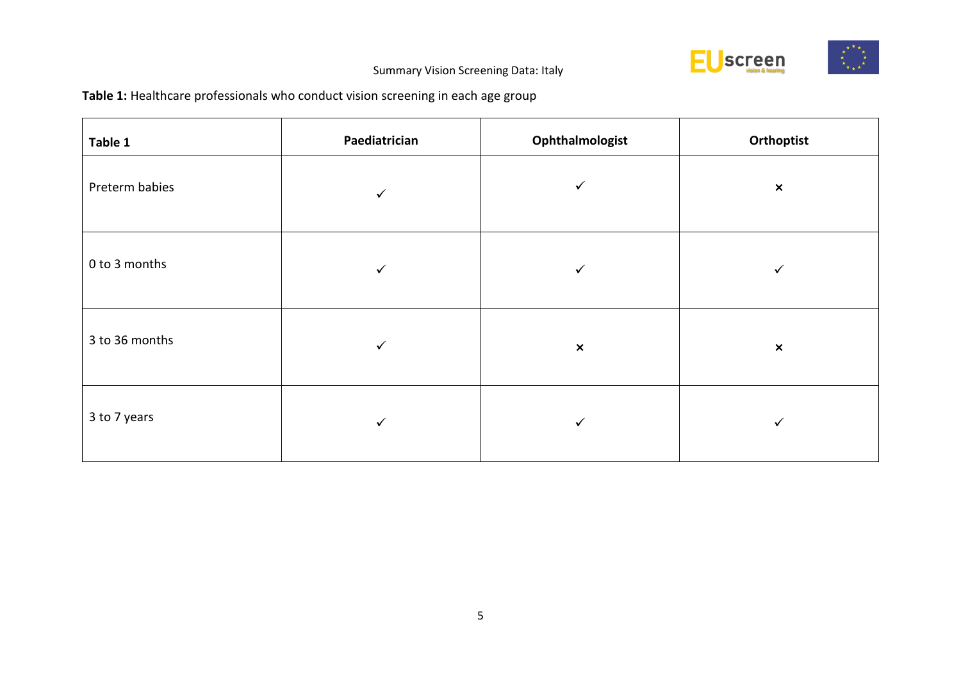

## **Table 1:** Healthcare professionals who conduct vision screening in each age group

| Table 1        | Paediatrician | Ophthalmologist | Orthoptist     |
|----------------|---------------|-----------------|----------------|
| Preterm babies | $\checkmark$  | $\checkmark$    | $\pmb{\times}$ |
| 0 to 3 months  | ✓             | ✓               |                |
| 3 to 36 months | $\checkmark$  | $\pmb{\times}$  | $\pmb{\times}$ |
| 3 to 7 years   | $\checkmark$  | $\checkmark$    | ✓              |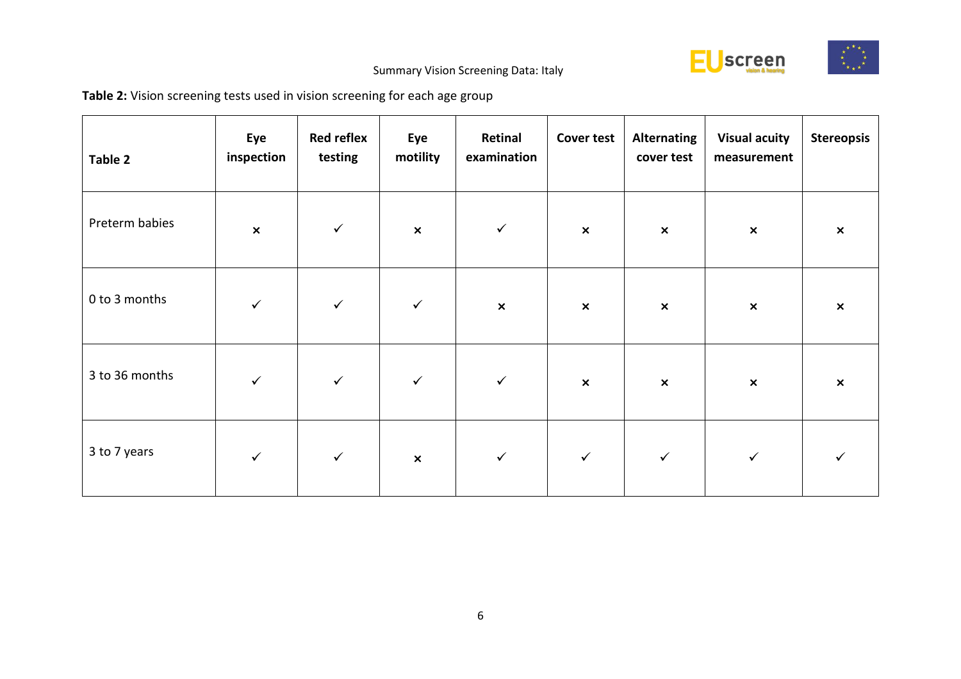

## **Table 2:** Vision screening tests used in vision screening for each age group

| Table 2        | Eye<br>inspection | <b>Red reflex</b><br>testing | Eye<br>motility | Retinal<br>examination | <b>Cover test</b> | <b>Alternating</b><br>cover test | <b>Visual acuity</b><br>measurement | <b>Stereopsis</b> |
|----------------|-------------------|------------------------------|-----------------|------------------------|-------------------|----------------------------------|-------------------------------------|-------------------|
| Preterm babies | $\pmb{\times}$    | $\checkmark$                 | $\pmb{\times}$  | $\checkmark$           | $\pmb{\times}$    | $\pmb{\times}$                   | $\boldsymbol{\mathsf{x}}$           | $\pmb{\times}$    |
| 0 to 3 months  | $\checkmark$      | $\checkmark$                 | $\checkmark$    | $\pmb{\times}$         | $\pmb{\times}$    | $\pmb{\times}$                   | $\pmb{\times}$                      | $\pmb{\times}$    |
| 3 to 36 months | $\checkmark$      | $\checkmark$                 | $\checkmark$    | $\checkmark$           | $\pmb{\times}$    | $\pmb{\times}$                   | $\boldsymbol{\mathsf{x}}$           | $\pmb{\times}$    |
| 3 to 7 years   | $\checkmark$      | $\checkmark$                 | $\pmb{\times}$  | $\checkmark$           | $\checkmark$      | $\checkmark$                     | $\checkmark$                        | ✓                 |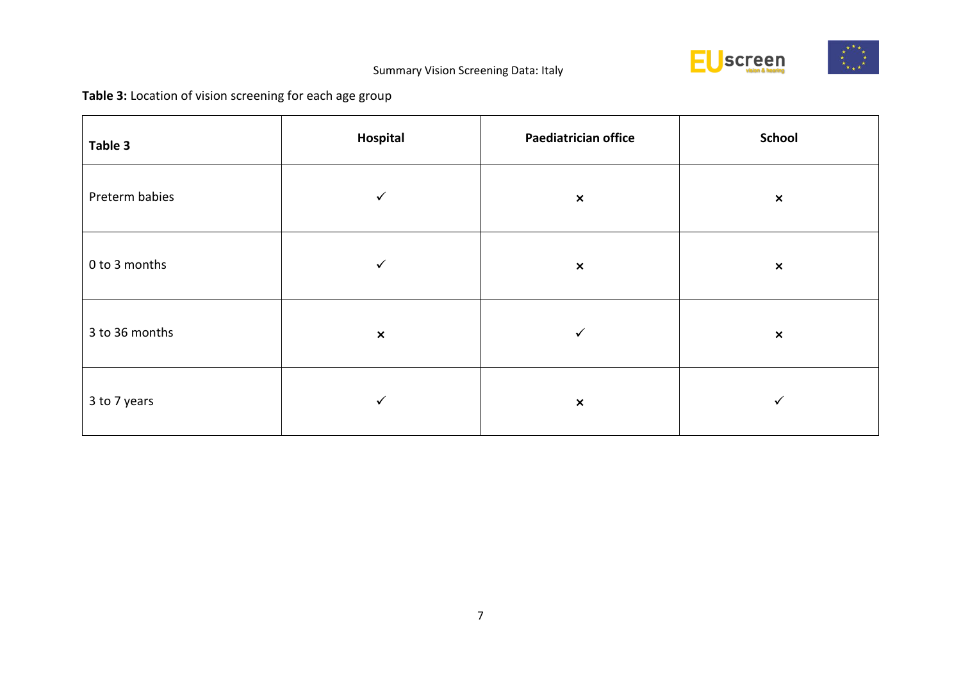

## **Table 3:** Location of vision screening for each age group

| Table 3        | Hospital       | <b>Paediatrician office</b> | <b>School</b>  |
|----------------|----------------|-----------------------------|----------------|
| Preterm babies | $\checkmark$   | $\pmb{\times}$              | $\pmb{\times}$ |
| 0 to 3 months  | $\checkmark$   | $\pmb{\times}$              | $\pmb{\times}$ |
| 3 to 36 months | $\pmb{\times}$ | ✓                           | $\pmb{\times}$ |
| 3 to 7 years   | $\checkmark$   | $\pmb{\times}$              |                |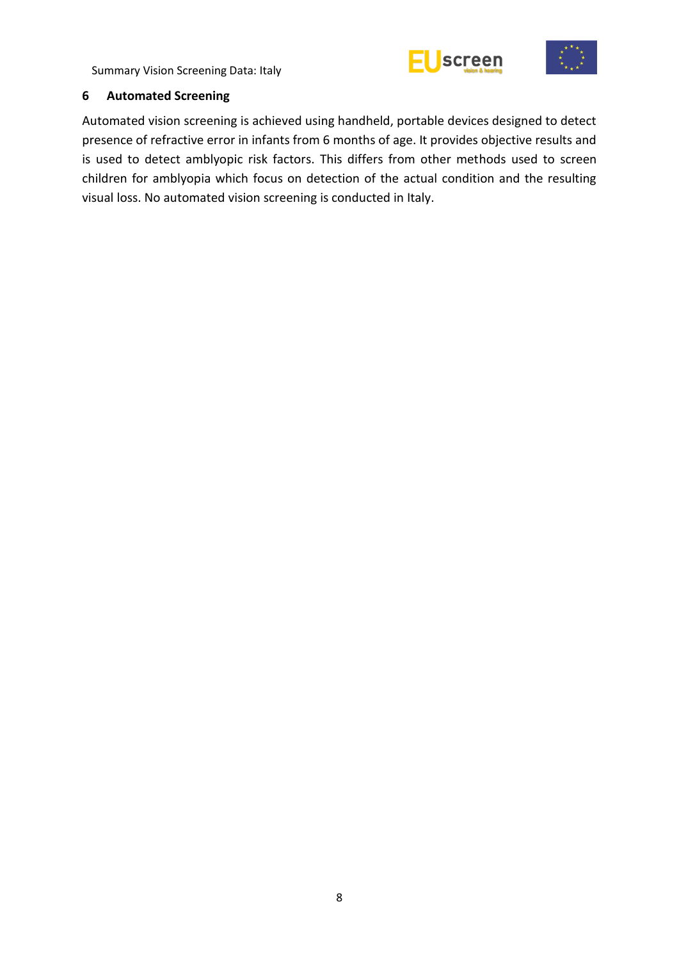



#### <span id="page-13-0"></span>**6 Automated Screening**

Automated vision screening is achieved using handheld, portable devices designed to detect presence of refractive error in infants from 6 months of age. It provides objective results and is used to detect amblyopic risk factors. This differs from other methods used to screen children for amblyopia which focus on detection of the actual condition and the resulting visual loss. No automated vision screening is conducted in Italy.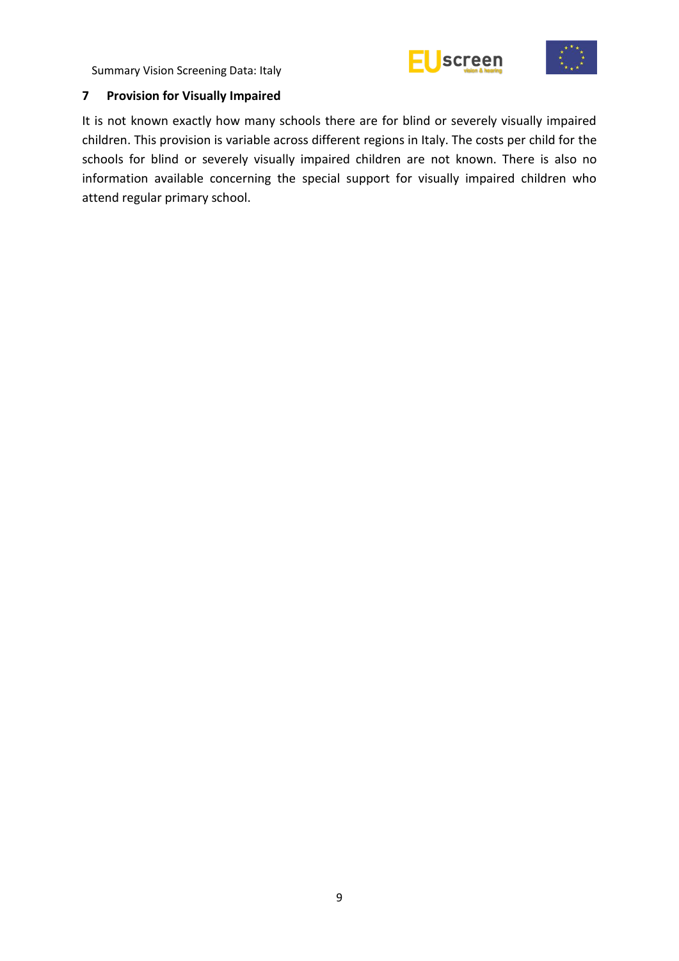



## <span id="page-14-0"></span>**7 Provision for Visually Impaired**

It is not known exactly how many schools there are for blind or severely visually impaired children. This provision is variable across different regions in Italy. The costs per child for the schools for blind or severely visually impaired children are not known. There is also no information available concerning the special support for visually impaired children who attend regular primary school.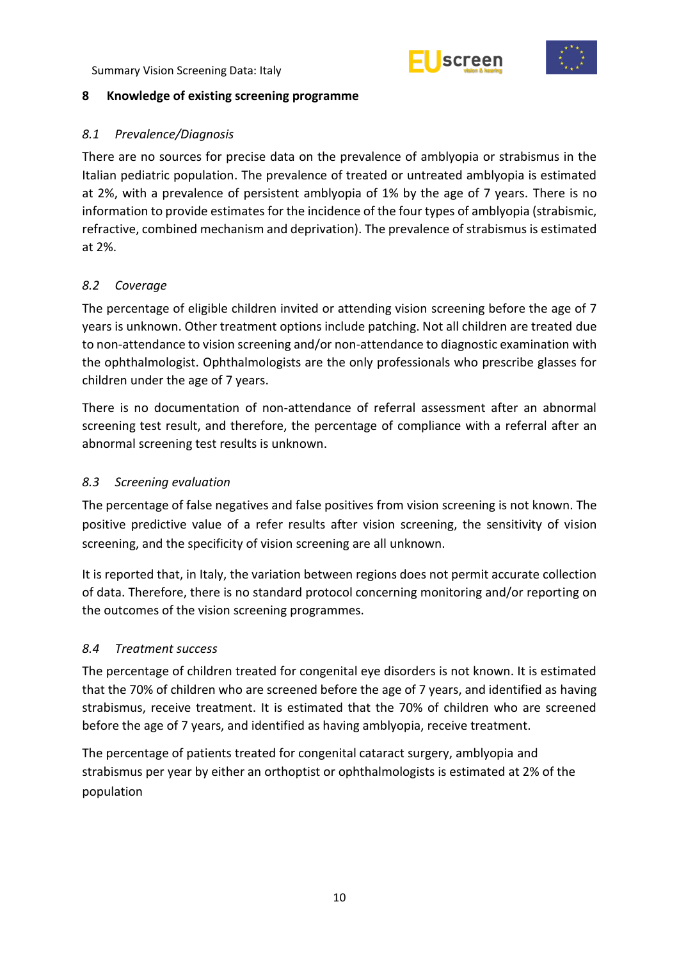



## <span id="page-15-0"></span>**8 Knowledge of existing screening programme**

## <span id="page-15-1"></span>*8.1 Prevalence/Diagnosis*

There are no sources for precise data on the prevalence of amblyopia or strabismus in the Italian pediatric population. The prevalence of treated or untreated amblyopia is estimated at 2%, with a prevalence of persistent amblyopia of 1% by the age of 7 years. There is no information to provide estimates for the incidence of the four types of amblyopia (strabismic, refractive, combined mechanism and deprivation). The prevalence of strabismus is estimated at 2%.

## <span id="page-15-2"></span>*8.2 Coverage*

The percentage of eligible children invited or attending vision screening before the age of 7 years is unknown. Other treatment options include patching. Not all children are treated due to non-attendance to vision screening and/or non-attendance to diagnostic examination with the ophthalmologist. Ophthalmologists are the only professionals who prescribe glasses for children under the age of 7 years.

There is no documentation of non-attendance of referral assessment after an abnormal screening test result, and therefore, the percentage of compliance with a referral after an abnormal screening test results is unknown.

#### <span id="page-15-3"></span>*8.3 Screening evaluation*

The percentage of false negatives and false positives from vision screening is not known. The positive predictive value of a refer results after vision screening, the sensitivity of vision screening, and the specificity of vision screening are all unknown.

It is reported that, in Italy, the variation between regions does not permit accurate collection of data. Therefore, there is no standard protocol concerning monitoring and/or reporting on the outcomes of the vision screening programmes.

#### <span id="page-15-4"></span>*8.4 Treatment success*

The percentage of children treated for congenital eye disorders is not known. It is estimated that the 70% of children who are screened before the age of 7 years, and identified as having strabismus, receive treatment. It is estimated that the 70% of children who are screened before the age of 7 years, and identified as having amblyopia, receive treatment.

The percentage of patients treated for congenital cataract surgery, amblyopia and strabismus per year by either an orthoptist or ophthalmologists is estimated at 2% of the population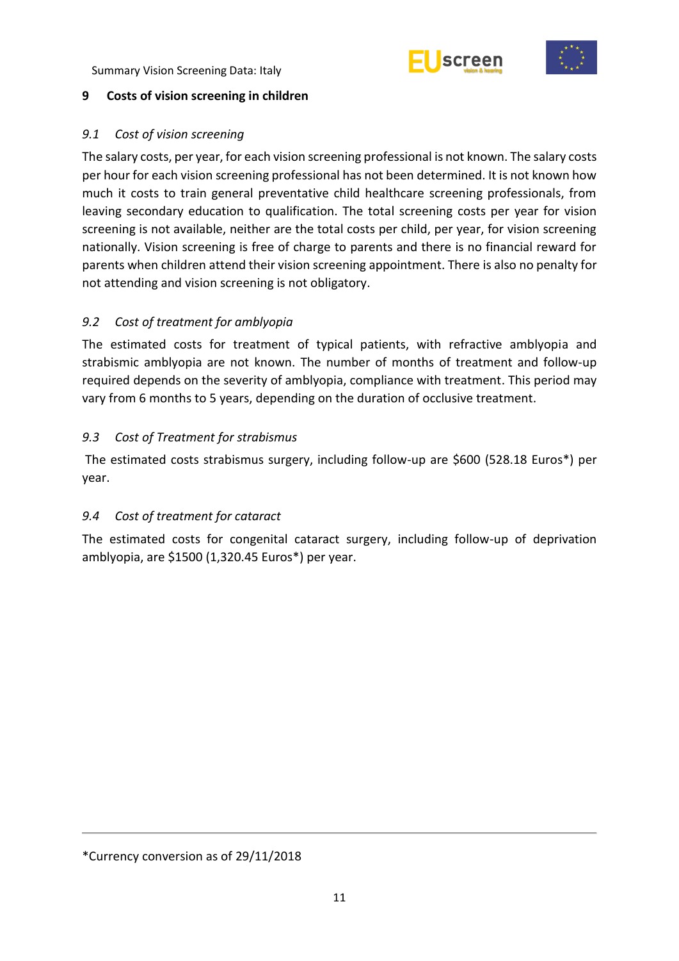



#### <span id="page-16-0"></span>**9 Costs of vision screening in children**

## <span id="page-16-1"></span>*9.1 Cost of vision screening*

The salary costs, per year, for each vision screening professional is not known. The salary costs per hour for each vision screening professional has not been determined. It is not known how much it costs to train general preventative child healthcare screening professionals, from leaving secondary education to qualification. The total screening costs per year for vision screening is not available, neither are the total costs per child, per year, for vision screening nationally. Vision screening is free of charge to parents and there is no financial reward for parents when children attend their vision screening appointment. There is also no penalty for not attending and vision screening is not obligatory.

## <span id="page-16-2"></span>*9.2 Cost of treatment for amblyopia*

The estimated costs for treatment of typical patients, with refractive amblyopia and strabismic amblyopia are not known. The number of months of treatment and follow-up required depends on the severity of amblyopia, compliance with treatment. This period may vary from 6 months to 5 years, depending on the duration of occlusive treatment.

## <span id="page-16-3"></span>*9.3 Cost of Treatment for strabismus*

The estimated costs strabismus surgery, including follow-up are \$600 (528.18 Euros\*) per year.

## <span id="page-16-4"></span>*9.4 Cost of treatment for cataract*

The estimated costs for congenital cataract surgery, including follow-up of deprivation amblyopia, are \$1500 (1,320.45 Euros\*) per year.

<sup>\*</sup>Currency conversion as of 29/11/2018